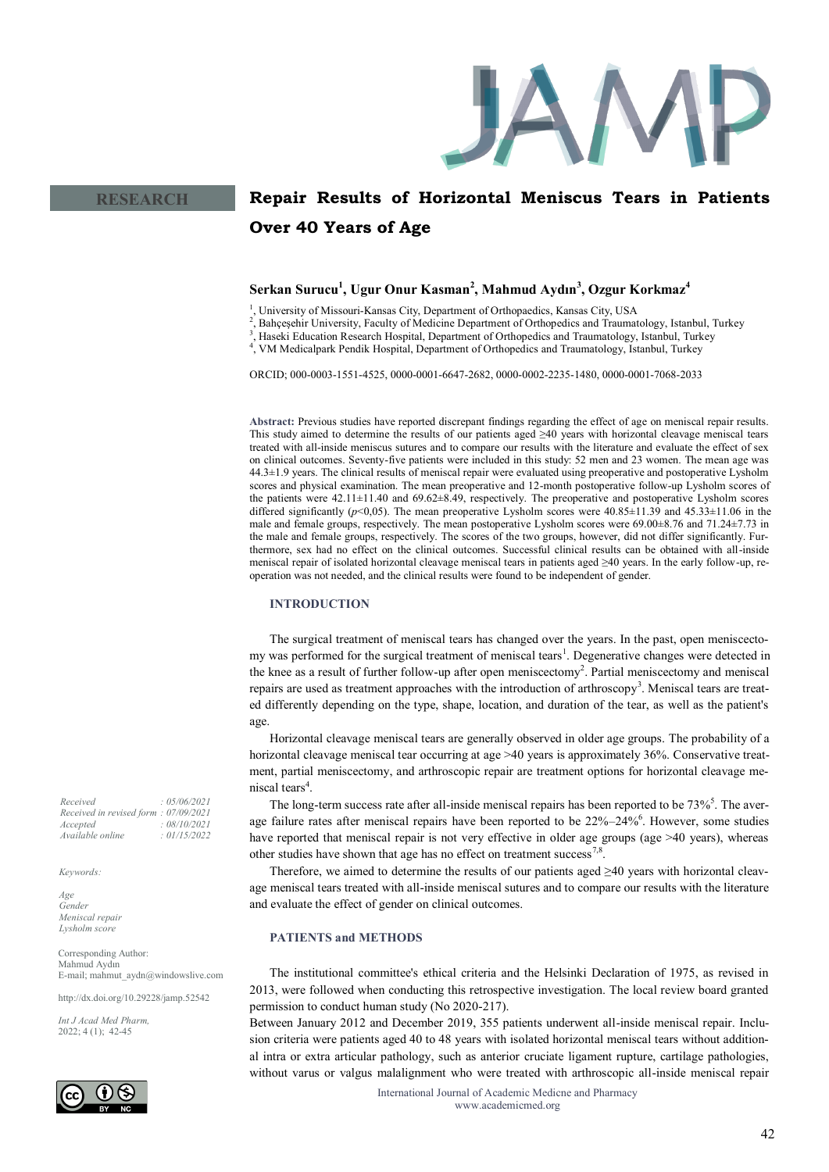

# **Repair Results of Horizontal Meniscus Tears in Patients Over 40 Years of Age**

# **Serkan Surucu<sup>1</sup> , Ugur Onur Kasman<sup>2</sup> , Mahmud Aydın<sup>3</sup> , Ozgur Korkmaz<sup>4</sup>**

<sup>1</sup>, University of Missouri-Kansas City, Department of Orthopaedics, Kansas City, USA

2 , Bahçeşehir University, Faculty of Medicine Department of Orthopedics and Traumatology, Istanbul, Turkey

3 , Haseki Education Research Hospital, Department of Orthopedics and Traumatology, Istanbul, Turkey

4 , VM Medicalpark Pendik Hospital, Department of Orthopedics and Traumatology, Istanbul, Turkey

ORCID; 000-0003-1551-4525, 0000-0001-6647-2682, 0000-0002-2235-1480, 0000-0001-7068-2033

**Abstract:** Previous studies have reported discrepant findings regarding the effect of age on meniscal repair results. This study aimed to determine the results of our patients aged ≥40 years with horizontal cleavage meniscal tears treated with all-inside meniscus sutures and to compare our results with the literature and evaluate the effect of sex on clinical outcomes. Seventy-five patients were included in this study: 52 men and 23 women. The mean age was 44.3±1.9 years. The clinical results of meniscal repair were evaluated using preoperative and postoperative Lysholm scores and physical examination. The mean preoperative and 12-month postoperative follow-up Lysholm scores of the patients were 42.11±11.40 and 69.62±8.49, respectively. The preoperative and postoperative Lysholm scores differed significantly ( $p<0.05$ ). The mean preoperative Lysholm scores were  $40.85\pm11.39$  and  $45.33\pm11.06$  in the male and female groups, respectively. The mean postoperative Lysholm scores were 69.00±8.76 and 71.24±7.73 in the male and female groups, respectively. The scores of the two groups, however, did not differ significantly. Furthermore, sex had no effect on the clinical outcomes. Successful clinical results can be obtained with all-inside meniscal repair of isolated horizontal cleavage meniscal tears in patients aged ≥40 years. In the early follow-up, reoperation was not needed, and the clinical results were found to be independent of gender.

#### **INTRODUCTION**

The surgical treatment of meniscal tears has changed over the years. In the past, open meniscectomy was performed for the surgical treatment of meniscal tears<sup>1</sup>. Degenerative changes were detected in the knee as a result of further follow-up after open meniscectomy<sup>2</sup>. Partial meniscectomy and meniscal repairs are used as treatment approaches with the introduction of arthroscopy<sup>3</sup>. Meniscal tears are treated differently depending on the type, shape, location, and duration of the tear, as well as the patient's age.

Horizontal cleavage meniscal tears are generally observed in older age groups. The probability of a horizontal cleavage meniscal tear occurring at age >40 years is approximately 36%. Conservative treatment, partial meniscectomy, and arthroscopic repair are treatment options for horizontal cleavage meniscal tears<sup>4</sup>.

The long-term success rate after all-inside meniscal repairs has been reported to be  $73\%$ <sup>5</sup>. The average failure rates after meniscal repairs have been reported to be  $22\% - 24\%$ <sup>6</sup>. However, some studies have reported that meniscal repair is not very effective in older age groups (age >40 years), whereas other studies have shown that age has no effect on treatment success<sup>7,8</sup>.

Therefore, we aimed to determine the results of our patients aged  $\geq 40$  years with horizontal cleavage meniscal tears treated with all-inside meniscal sutures and to compare our results with the literature and evaluate the effect of gender on clinical outcomes.

#### **PATIENTS and METHODS**

The institutional committee's ethical criteria and the Helsinki Declaration of 1975, as revised in 2013, were followed when conducting this retrospective investigation. The local review board granted permission to conduct human study (No 2020-217).

Between January 2012 and December 2019, 355 patients underwent all-inside meniscal repair. Inclusion criteria were patients aged 40 to 48 years with isolated horizontal meniscal tears without additional intra or extra articular pathology, such as anterior cruciate ligament rupture, cartilage pathologies, without varus or valgus malalignment who were treated with arthroscopic all-inside meniscal repair

> International Journal of Academic Medicne and Pharmacy www.academicmed.org

*Received : 05/06/2021 Received in revised form : 07/09/2021 Accepted : 08/10/2021 Available online : 01/15/2022*

*Keywords:*

*Age Gender Meniscal repair Lysholm score* 

Corresponding Author: Mahmud Aydın E-mail; mahmut\_aydn@windowslive.com

http://dx.doi.org/10.29228/jamp.52542

*Int J Acad Med Pharm,* 2022; 4 (1); 42-45

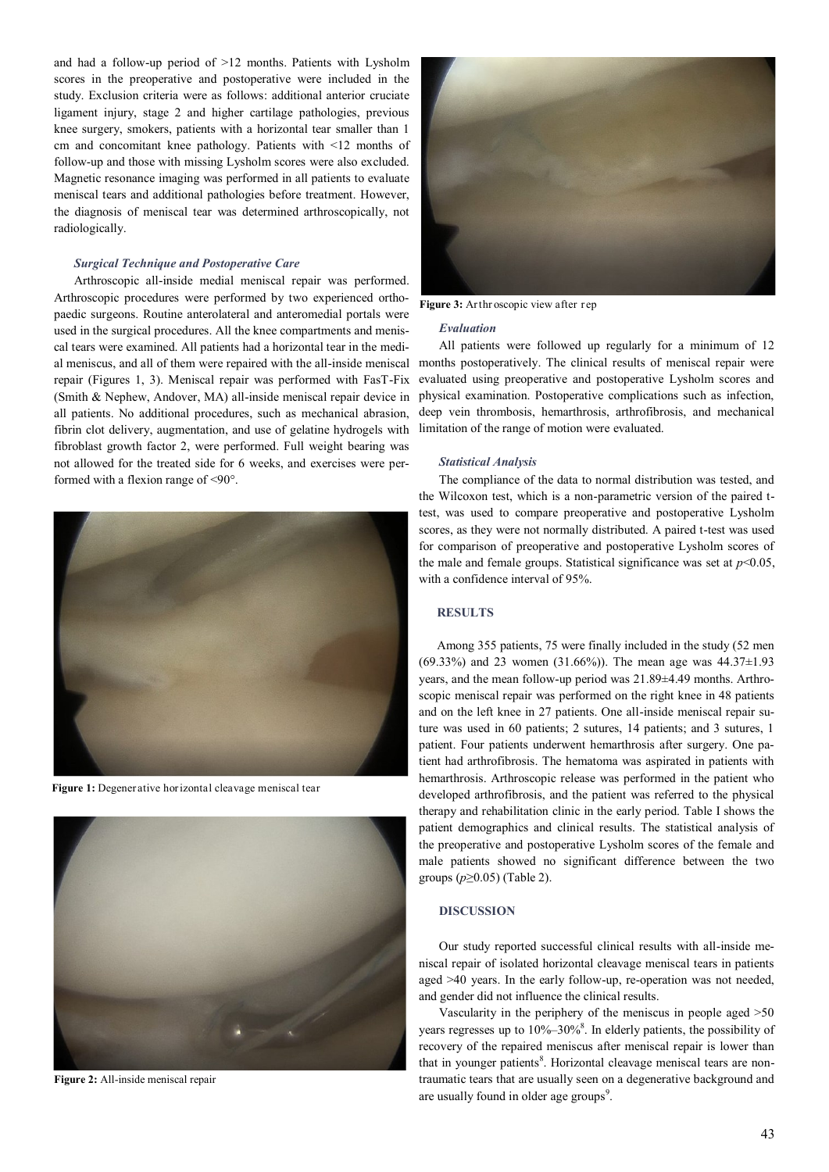and had a follow-up period of >12 months. Patients with Lysholm scores in the preoperative and postoperative were included in the study. Exclusion criteria were as follows: additional anterior cruciate ligament injury, stage 2 and higher cartilage pathologies, previous knee surgery, smokers, patients with a horizontal tear smaller than 1 cm and concomitant knee pathology. Patients with <12 months of follow-up and those with missing Lysholm scores were also excluded. Magnetic resonance imaging was performed in all patients to evaluate meniscal tears and additional pathologies before treatment. However, the diagnosis of meniscal tear was determined arthroscopically, not radiologically.

#### *Surgical Technique and Postoperative Care*

Arthroscopic all-inside medial meniscal repair was performed. Arthroscopic procedures were performed by two experienced orthopaedic surgeons. Routine anterolateral and anteromedial portals were used in the surgical procedures. All the knee compartments and meniscal tears were examined. All patients had a horizontal tear in the medial meniscus, and all of them were repaired with the all-inside meniscal repair (Figures 1, 3). Meniscal repair was performed with FasT-Fix (Smith & Nephew, Andover, MA) all-inside meniscal repair device in all patients. No additional procedures, such as mechanical abrasion, fibrin clot delivery, augmentation, and use of gelatine hydrogels with fibroblast growth factor 2, were performed. Full weight bearing was not allowed for the treated side for 6 weeks, and exercises were performed with a flexion range of <90°.



**Figure 1:** Degenerative horizontal cleavage meniscal tear



**Figure 2:** All-inside meniscal repair



**Figure 3:** Arthr oscopic view after rep

#### *Evaluation*

All patients were followed up regularly for a minimum of 12 months postoperatively. The clinical results of meniscal repair were evaluated using preoperative and postoperative Lysholm scores and physical examination. Postoperative complications such as infection, deep vein thrombosis, hemarthrosis, arthrofibrosis, and mechanical limitation of the range of motion were evaluated.

## *Statistical Analysis*

The compliance of the data to normal distribution was tested, and the Wilcoxon test, which is a non-parametric version of the paired ttest, was used to compare preoperative and postoperative Lysholm scores, as they were not normally distributed. A paired t-test was used for comparison of preoperative and postoperative Lysholm scores of the male and female groups. Statistical significance was set at  $p<0.05$ , with a confidence interval of 95%.

## **RESULTS**

Among 355 patients, 75 were finally included in the study (52 men (69.33%) and 23 women (31.66%)). The mean age was 44.37±1.93 years, and the mean follow-up period was 21.89±4.49 months. Arthroscopic meniscal repair was performed on the right knee in 48 patients and on the left knee in 27 patients. One all-inside meniscal repair suture was used in 60 patients; 2 sutures, 14 patients; and 3 sutures, 1 patient. Four patients underwent hemarthrosis after surgery. One patient had arthrofibrosis. The hematoma was aspirated in patients with hemarthrosis. Arthroscopic release was performed in the patient who developed arthrofibrosis, and the patient was referred to the physical therapy and rehabilitation clinic in the early period. Table I shows the patient demographics and clinical results. The statistical analysis of the preoperative and postoperative Lysholm scores of the female and male patients showed no significant difference between the two groups (*p*≥0.05) (Table 2).

#### **DISCUSSION**

Our study reported successful clinical results with all-inside meniscal repair of isolated horizontal cleavage meniscal tears in patients aged >40 years. In the early follow-up, re-operation was not needed, and gender did not influence the clinical results.

Vascularity in the periphery of the meniscus in people aged >50 years regresses up to 10%-30%<sup>8</sup>. In elderly patients, the possibility of recovery of the repaired meniscus after meniscal repair is lower than that in younger patients<sup>8</sup>. Horizontal cleavage meniscal tears are nontraumatic tears that are usually seen on a degenerative background and are usually found in older age groups<sup>9</sup>.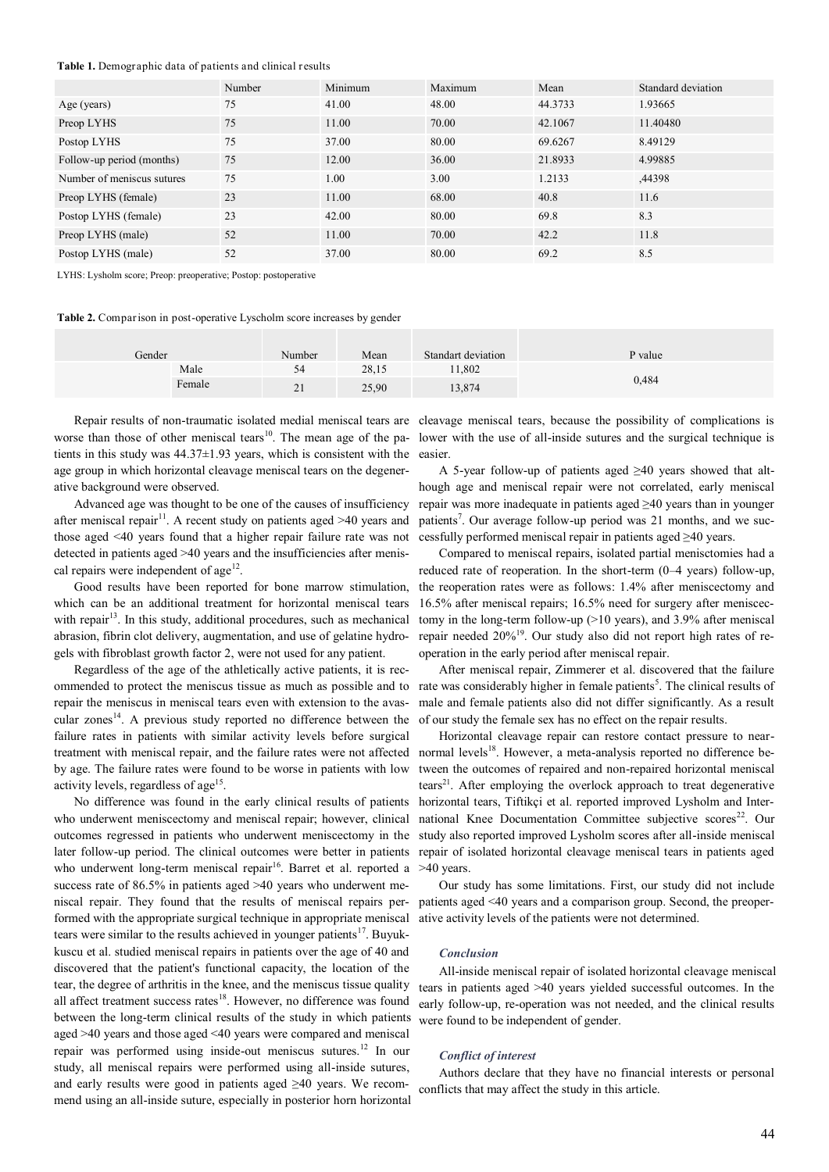#### **Table 1.** Demographic data of patients and clinical results

|                            | Number | Minimum | Maximum | Mean    | Standard deviation |
|----------------------------|--------|---------|---------|---------|--------------------|
| Age (years)                | 75     | 41.00   | 48.00   | 44.3733 | 1.93665            |
| Preop LYHS                 | 75     | 11.00   | 70.00   | 42.1067 | 11.40480           |
| Postop LYHS                | 75     | 37.00   | 80.00   | 69.6267 | 8.49129            |
| Follow-up period (months)  | 75     | 12.00   | 36.00   | 21.8933 | 4.99885            |
| Number of meniscus sutures | 75     | 1.00    | 3.00    | 1.2133  | ,44398             |
| Preop LYHS (female)        | 23     | 11.00   | 68.00   | 40.8    | 11.6               |
| Postop LYHS (female)       | 23     | 42.00   | 80.00   | 69.8    | 8.3                |
| Preop LYHS (male)          | 52     | 11.00   | 70.00   | 42.2    | 11.8               |
| Postop LYHS (male)         | 52     | 37.00   | 80.00   | 69.2    | 8.5                |

LYHS: Lysholm score; Preop: preoperative; Postop: postoperative

**Table 2.** Comparison in post-operative Lyscholm score increases by gender

| Gender |        | Number             | Mean  | Standart deviation | P value |
|--------|--------|--------------------|-------|--------------------|---------|
|        | Male   | 54<br>◡┑           | 28,15 | 1,802              |         |
|        | Female | $\sim$<br>$\sim$ 1 | 25,90 | 13,874             | 0,484   |

tients in this study was  $44.37 \pm 1.93$  years, which is consistent with the age group in which horizontal cleavage meniscal tears on the degenerative background were observed.

Advanced age was thought to be one of the causes of insufficiency after meniscal repair<sup>11</sup>. A recent study on patients aged  $>40$  years and those aged <40 years found that a higher repair failure rate was not detected in patients aged >40 years and the insufficiencies after meniscal repairs were independent of  $age<sup>12</sup>$ .

Good results have been reported for bone marrow stimulation, which can be an additional treatment for horizontal meniscal tears with repair<sup>13</sup>. In this study, additional procedures, such as mechanical abrasion, fibrin clot delivery, augmentation, and use of gelatine hydrogels with fibroblast growth factor 2, were not used for any patient.

Regardless of the age of the athletically active patients, it is recommended to protect the meniscus tissue as much as possible and to repair the meniscus in meniscal tears even with extension to the avascular zones<sup>14</sup>. A previous study reported no difference between the failure rates in patients with similar activity levels before surgical treatment with meniscal repair, and the failure rates were not affected by age. The failure rates were found to be worse in patients with low activity levels, regardless of age<sup>15</sup>.

No difference was found in the early clinical results of patients who underwent meniscectomy and meniscal repair; however, clinical outcomes regressed in patients who underwent meniscectomy in the later follow-up period. The clinical outcomes were better in patients who underwent long-term meniscal repair<sup>16</sup>. Barret et al. reported a success rate of 86.5% in patients aged >40 years who underwent meniscal repair. They found that the results of meniscal repairs performed with the appropriate surgical technique in appropriate meniscal tears were similar to the results achieved in younger patients<sup>17</sup>. Buyukkuscu et al. studied meniscal repairs in patients over the age of 40 and discovered that the patient's functional capacity, the location of the tear, the degree of arthritis in the knee, and the meniscus tissue quality all affect treatment success rates<sup>18</sup>. However, no difference was found between the long-term clinical results of the study in which patients aged >40 years and those aged <40 years were compared and meniscal repair was performed using inside-out meniscus sutures.<sup>12</sup> In our study, all meniscal repairs were performed using all-inside sutures, and early results were good in patients aged ≥40 years. We recommend using an all-inside suture, especially in posterior horn horizontal

Repair results of non-traumatic isolated medial meniscal tears are cleavage meniscal tears, because the possibility of complications is worse than those of other meniscal tears<sup>10</sup>. The mean age of the pa- lower with the use of all-inside sutures and the surgical technique is easier.

> A 5-year follow-up of patients aged ≥40 years showed that although age and meniscal repair were not correlated, early meniscal repair was more inadequate in patients aged ≥40 years than in younger patients<sup>7</sup>. Our average follow-up period was 21 months, and we successfully performed meniscal repair in patients aged ≥40 years.

> Compared to meniscal repairs, isolated partial menisctomies had a reduced rate of reoperation. In the short-term (0–4 years) follow-up, the reoperation rates were as follows: 1.4% after meniscectomy and 16.5% after meniscal repairs; 16.5% need for surgery after meniscectomy in the long-term follow-up (>10 years), and 3.9% after meniscal repair needed 20%<sup>19</sup>. Our study also did not report high rates of reoperation in the early period after meniscal repair.

> After meniscal repair, Zimmerer et al. discovered that the failure rate was considerably higher in female patients<sup>5</sup>. The clinical results of male and female patients also did not differ significantly. As a result of our study the female sex has no effect on the repair results.

> Horizontal cleavage repair can restore contact pressure to nearnormal levels<sup>18</sup>. However, a meta-analysis reported no difference between the outcomes of repaired and non-repaired horizontal meniscal  $\text{tears}^{21}$ . After employing the overlock approach to treat degenerative horizontal tears, Tiftikçi et al. reported improved Lysholm and International Knee Documentation Committee subjective scores<sup>22</sup>. Our study also reported improved Lysholm scores after all-inside meniscal repair of isolated horizontal cleavage meniscal tears in patients aged >40 years.

> Our study has some limitations. First, our study did not include patients aged <40 years and a comparison group. Second, the preoperative activity levels of the patients were not determined.

#### *Conclusion*

All-inside meniscal repair of isolated horizontal cleavage meniscal tears in patients aged >40 years yielded successful outcomes. In the early follow-up, re-operation was not needed, and the clinical results were found to be independent of gender.

#### *Conflict of interest*

Authors declare that they have no financial interests or personal conflicts that may affect the study in this article.